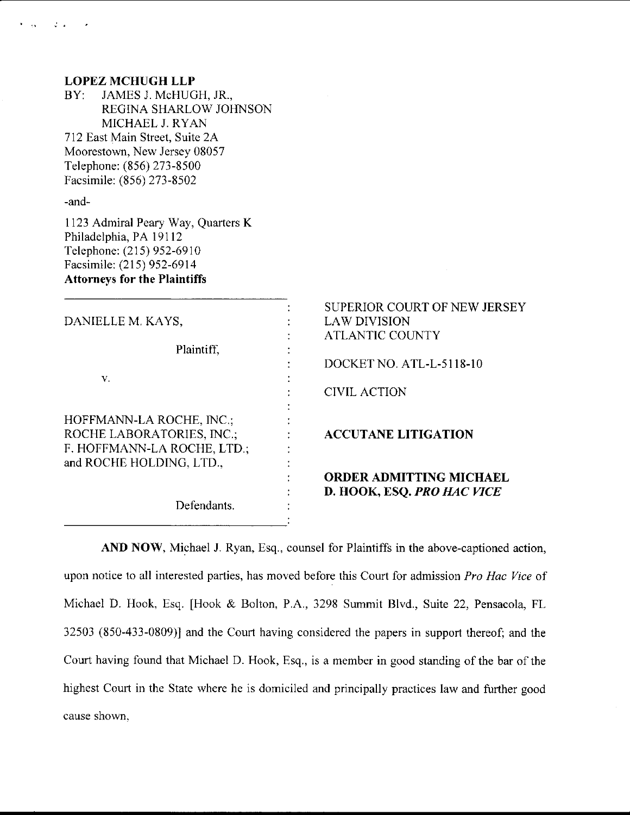| -and-<br>1123 Admiral Peary Way, Quarters K<br>Philadelphia, PA 19112<br>Telephone: (215) 952-6910<br>Facsimile: (215) 952-6914<br><b>Attorneys for the Plaintiffs</b><br>SUPERIOR COURT OF NEW JERSEY<br><b>LAW DIVISION</b><br>DANIELLE M. KAYS,<br><b>ATLANTIC COUNTY</b><br>Plaintiff,<br>DOCKET NO. ATL-L-5118-10<br>V.<br><b>CIVIL ACTION</b><br>HOFFMANN-LA ROCHE, INC.;<br>ROCHE LABORATORIES, INC.;<br><b>ACCUTANE LITIGATION</b><br>F. HOFFMANN-LA ROCHE, LTD.;<br>and ROCHE HOLDING, LTD.,<br><b>ORDER ADMITTING MICHAEL</b><br>D. HOOK, ESQ. PRO HAC VICE | <b>LOPEZ MCHUGH LLP</b><br>JAMES J. McHUGH, JR.,<br>BY:<br>REGINA SHARLOW JOHNSON<br>MICHAEL J. RYAN<br>712 East Main Street, Suite 2A<br>Moorestown, New Jersey 08057<br>Telephone: (856) 273-8500<br>Facsimile: (856) 273-8502 |  |
|-----------------------------------------------------------------------------------------------------------------------------------------------------------------------------------------------------------------------------------------------------------------------------------------------------------------------------------------------------------------------------------------------------------------------------------------------------------------------------------------------------------------------------------------------------------------------|----------------------------------------------------------------------------------------------------------------------------------------------------------------------------------------------------------------------------------|--|
|                                                                                                                                                                                                                                                                                                                                                                                                                                                                                                                                                                       |                                                                                                                                                                                                                                  |  |
|                                                                                                                                                                                                                                                                                                                                                                                                                                                                                                                                                                       |                                                                                                                                                                                                                                  |  |
|                                                                                                                                                                                                                                                                                                                                                                                                                                                                                                                                                                       |                                                                                                                                                                                                                                  |  |
|                                                                                                                                                                                                                                                                                                                                                                                                                                                                                                                                                                       |                                                                                                                                                                                                                                  |  |
|                                                                                                                                                                                                                                                                                                                                                                                                                                                                                                                                                                       |                                                                                                                                                                                                                                  |  |
|                                                                                                                                                                                                                                                                                                                                                                                                                                                                                                                                                                       |                                                                                                                                                                                                                                  |  |
|                                                                                                                                                                                                                                                                                                                                                                                                                                                                                                                                                                       |                                                                                                                                                                                                                                  |  |
| Defendants.                                                                                                                                                                                                                                                                                                                                                                                                                                                                                                                                                           |                                                                                                                                                                                                                                  |  |

 $\mathcal{L}^{\pm}$  .

AND NOW, Michael J. Ryan, Esq., counsel for Plaintiffs in the above-captioned action, upon notice to all interested parties, has moved before this Court for admission Pro Hac Vice of Michael D. Hook, Esq. [Hook & Bolton, P,A., 3298 Summit Blvd., Suite 22, Pensacola, FL 32503 (850-433-0809)l and the Courl having considered the papers in support thereof; and the Court having found that Michael D. Hook, Esq., is a member in good standing of the bar of the highest Court in the State where he is domiciled and principally practices law and further good cause shown.